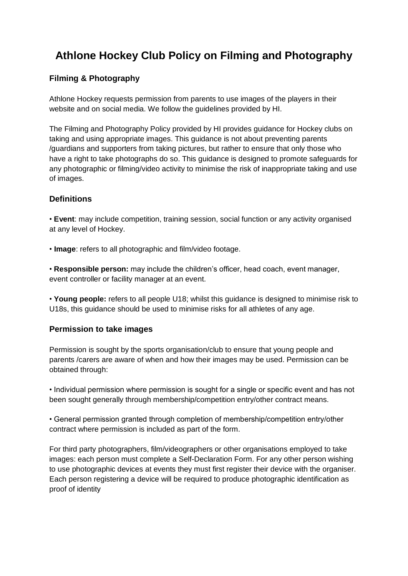# **Athlone Hockey Club Policy on Filming and Photography**

# **Filming & Photography**

Athlone Hockey requests permission from parents to use images of the players in their website and on social media. We follow the guidelines provided by HI.

The Filming and Photography Policy provided by HI provides guidance for Hockey clubs on taking and using appropriate images. This guidance is not about preventing parents /guardians and supporters from taking pictures, but rather to ensure that only those who have a right to take photographs do so. This guidance is designed to promote safeguards for any photographic or filming/video activity to minimise the risk of inappropriate taking and use of images.

## **Definitions**

• **Event**: may include competition, training session, social function or any activity organised at any level of Hockey.

• **Image**: refers to all photographic and film/video footage.

• **Responsible person:** may include the children's officer, head coach, event manager, event controller or facility manager at an event.

• **Young people:** refers to all people U18; whilst this guidance is designed to minimise risk to U18s, this guidance should be used to minimise risks for all athletes of any age.

## **Permission to take images**

Permission is sought by the sports organisation/club to ensure that young people and parents /carers are aware of when and how their images may be used. Permission can be obtained through:

• Individual permission where permission is sought for a single or specific event and has not been sought generally through membership/competition entry/other contract means.

• General permission granted through completion of membership/competition entry/other contract where permission is included as part of the form.

For third party photographers, film/videographers or other organisations employed to take images: each person must complete a Self-Declaration Form. For any other person wishing to use photographic devices at events they must first register their device with the organiser. Each person registering a device will be required to produce photographic identification as proof of identity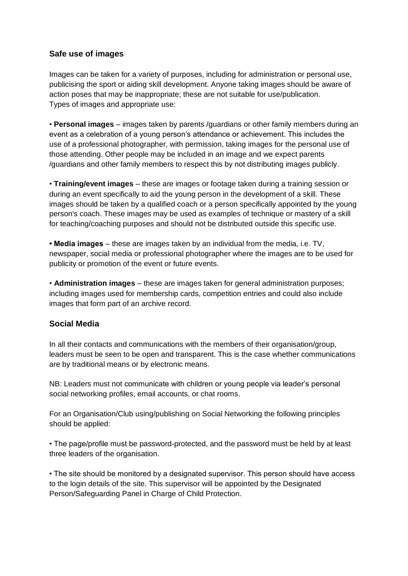## **Safe use of images**

Images can be taken for a variety of purposes, including for administration or personal use, publicising the sport or aiding skill development. Anyone taking images should be aware of action poses that may be inappropriate; these are not suitable for use/publication. Types of images and appropriate use:

• **Personal images** – images taken by parents /guardians or other family members during an event as a celebration of a young person's attendance or achievement. This includes the use of a professional photographer, with permission, taking images for the personal use of those attending. Other people may be included in an image and we expect parents /guardians and other family members to respect this by not distributing images publicly.

• **Training/event images** – these are images or footage taken during a training session or during an event specifically to aid the young person in the development of a skill. These images should be taken by a qualified coach or a person specifically appointed by the young person's coach. These images may be used as examples of technique or mastery of a skill for teaching/coaching purposes and should not be distributed outside this specific use.

**• Media images** – these are images taken by an individual from the media, i.e. TV, newspaper, social media or professional photographer where the images are to be used for publicity or promotion of the event or future events.

• **Administration images** – these are images taken for general administration purposes; including images used for membership cards, competition entries and could also include images that form part of an archive record.

#### **Social Media**

In all their contacts and communications with the members of their organisation/group, leaders must be seen to be open and transparent. This is the case whether communications are by traditional means or by electronic means.

NB: Leaders must not communicate with children or young people via leader's personal social networking profiles, email accounts, or chat rooms.

For an Organisation/Club using/publishing on Social Networking the following principles should be applied:

• The page/profile must be password-protected, and the password must be held by at least three leaders of the organisation.

• The site should be monitored by a designated supervisor. This person should have access to the login details of the site. This supervisor will be appointed by the Designated Person/Safeguarding Panel in Charge of Child Protection.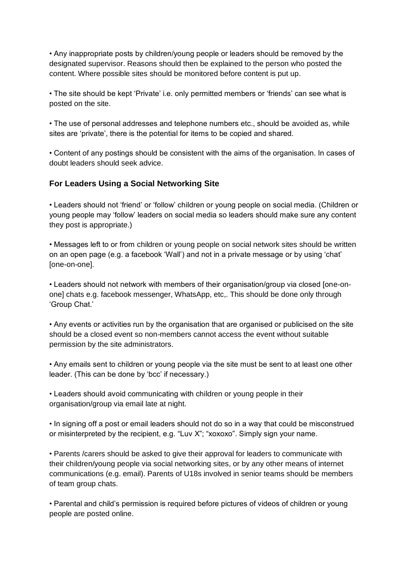• Any inappropriate posts by children/young people or leaders should be removed by the designated supervisor. Reasons should then be explained to the person who posted the content. Where possible sites should be monitored before content is put up.

• The site should be kept 'Private' i.e. only permitted members or 'friends' can see what is posted on the site.

• The use of personal addresses and telephone numbers etc., should be avoided as, while sites are 'private', there is the potential for items to be copied and shared.

• Content of any postings should be consistent with the aims of the organisation. In cases of doubt leaders should seek advice.

## **For Leaders Using a Social Networking Site**

• Leaders should not 'friend' or 'follow' children or young people on social media. (Children or young people may 'follow' leaders on social media so leaders should make sure any content they post is appropriate.)

• Messages left to or from children or young people on social network sites should be written on an open page (e.g. a facebook 'Wall') and not in a private message or by using 'chat' [one-on-one].

• Leaders should not network with members of their organisation/group via closed [one-onone] chats e.g. facebook messenger, WhatsApp, etc,. This should be done only through 'Group Chat.'

• Any events or activities run by the organisation that are organised or publicised on the site should be a closed event so non-members cannot access the event without suitable permission by the site administrators.

• Any emails sent to children or young people via the site must be sent to at least one other leader. (This can be done by 'bcc' if necessary.)

• Leaders should avoid communicating with children or young people in their organisation/group via email late at night.

• In signing off a post or email leaders should not do so in a way that could be misconstrued or misinterpreted by the recipient, e.g. "Luv X"; "xoxoxo". Simply sign your name.

• Parents /carers should be asked to give their approval for leaders to communicate with their children/young people via social networking sites, or by any other means of internet communications (e.g. email). Parents of U18s involved in senior teams should be members of team group chats.

• Parental and child's permission is required before pictures of videos of children or young people are posted online.